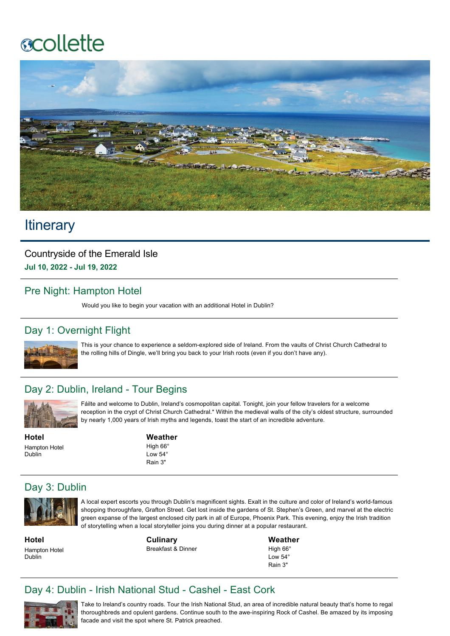# **ecollette**



# **Itinerary**

Countryside of the Emerald Isle **Jul 10, 2022 Jul 19, 2022**

#### Pre Night: Hampton Hotel

Would you like to begin your vacation with an additional Hotel in Dublin?

# Day 1: Overnight Flight



This is your chance to experience a seldom-explored side of Ireland. From the vaults of Christ Church Cathedral to the rolling hills of Dingle, we'll bring you back to your Irish roots (even if you don't have any).

#### Day 2: Dublin, Ireland - Tour Begins



Fáilte and welcome to Dublin, Ireland's cosmopolitan capital. Tonight, join your fellow travelers for a welcome reception in the crypt of Christ Church Cathedral.\* Within the medieval walls of the city's oldest structure, surrounded by nearly 1,000 years of Irish myths and legends, toast the start of an incredible adventure.

**Hotel** Hampton Hotel Dublin

**Weather** High 66° Low 54° Rain 3"

# Day 3: Dublin



A local expert escorts you through Dublin's magnificent sights. Exalt in the culture and color of Ireland's world-famous shopping thoroughfare, Grafton Street. Get lost inside the gardens of St. Stephen's Green, and marvel at the electric green expanse of the largest enclosed city park in all of Europe, Phoenix Park. This evening, enjoy the Irish tradition of storytelling when a local storyteller joins you during dinner at a popular restaurant.

**Hotel** Hampton Hotel Dublin

**Culinary** Breakfast & Dinner

**Weather** High 66° Low 54° Rain 3"

# Day 4: Dublin - Irish National Stud - Cashel - East Cork



Take to Ireland's country roads. Tour the Irish National Stud, an area of incredible natural beauty that's home to regal thoroughbreds and opulent gardens. Continue south to the awe-inspiring Rock of Cashel. Be amazed by its imposing facade and visit the spot where St. Patrick preached.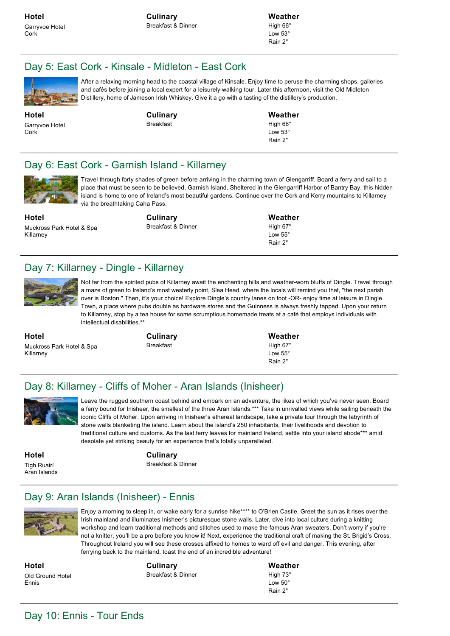**Culinary** Breakfast & Dinner **Weather** High 66° Low 53°

Rain 2"

#### Day 5: East Cork - Kinsale - Midleton - East Cork



After a relaxing morning head to the coastal village of Kinsale. Enjoy time to peruse the charming shops, galleries and cafés before joining a local expert for a leisurely walking tour. Later this afternoon, visit the Old Midleton Distillery, home of Jameson Irish Whiskey. Give it a go with a tasting of the distillery's production.

**Hotel** Garryvoe Hotel Cork

**Culinary** Breakfast

**Weather**

High 66° Low 53° Rain 2"

#### Day 6: East Cork - Garnish Island - Killarney



Travel through forty shades of green before arriving in the charming town of Glengarriff. Board a ferry and sail to a place that must be seen to be believed, Garnish Island. Sheltered in the Glengarriff Harbor of Bantry Bay, this hidden island is home to one of Ireland's most beautiful gardens. Continue over the Cork and Kerry mountains to Killarney via the breathtaking Caha Pass.

**Hotel** Muckross Park Hotel & Spa Killarney

**Culinary** Breakfast & Dinner **Weather**

High 67°  $Low 55<sup>c</sup>$ Rain 2"

#### Day 7: Killarney - Dingle - Killarney



Not far from the spirited pubs of Killarney await the enchanting hills and weather-worn bluffs of Dingle. Travel through a maze of green to Ireland's most westerly point, Slea Head, where the locals will remind you that, "the next parish over is Boston." Then, it's your choice! Explore Dingle's country lanes on foot -OR- enjoy time at leisure in Dingle Town, a place where pubs double as hardware stores and the Guinness is always freshly tapped. Upon your return to Killarney, stop by a tea house for some scrumptious homemade treats at a café that employs individuals with intellectual disabilities.\*

**Hotel** Muckross Park Hotel & Spa Killarney

**Culinary** Breakfast

**Weather** High 67° Low 55° Rain 2"

# Day 8: Killarney - Cliffs of Moher - Aran Islands (Inisheer)



Leave the rugged southern coast behind and embark on an adventure, the likes of which you've never seen. Board a ferry bound for Inisheer, the smallest of the three Aran Islands.\*\*\* Take in unrivalled views while sailing beneath the iconic Cliffs of Moher. Upon arriving in Inisheer's ethereal landscape, take a private tour through the labyrinth of stone walls blanketing the island. Learn about the island's 250 inhabitants, their livelihoods and devotion to traditional culture and customs. As the last ferry leaves for mainland Ireland, settle into your island abode\*\*\* amid desolate yet striking beauty for an experience that's totally unparalleled.

**Hotel** Tigh Ruairí Aran Islands **Culinary** Breakfast & Dinner

#### Day 9: Aran Islands (Inisheer) - Ennis



Enjoy a morning to sleep in, or wake early for a sunrise hike\*\*\*\* to O'Brien Castle. Greet the sun as it rises over the Irish mainland and illuminates Inisheer's picturesque stone walls. Later, dive into local culture during a knitting workshop and learn traditional methods and stitches used to make the famous Aran sweaters. Don't worry if you're not a knitter, you'll be a pro before you know it! Next, experience the traditional craft of making the St. Brigid's Cross. Throughout Ireland you will see these crosses affixed to homes to ward off evil and danger. This evening, after ferrying back to the mainland, toast the end of an incredible adventure!

**Hotel** Old Ground Hotel Ennis

**Culinary** Breakfast & Dinner **Weather** High 73° Low 50° Rain 2"